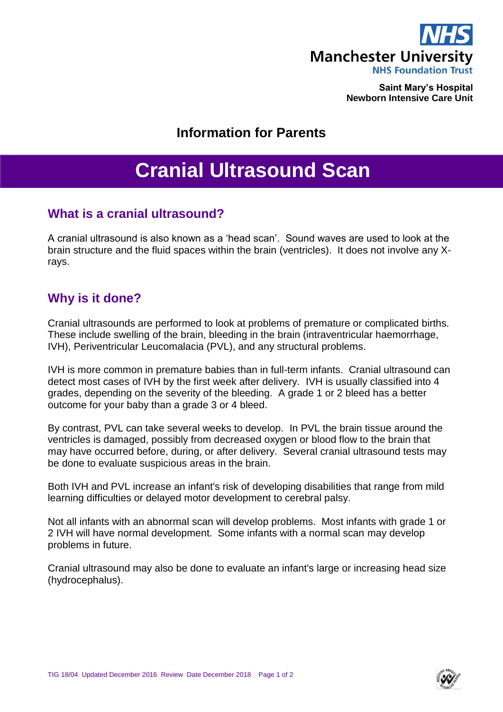

**Saint Mary's Hospital Newborn Intensive Care Unit**

## **Information for Parents**

# **Cranial Ultrasound Scan**

## **What is a cranial ultrasound?**

A cranial ultrasound is also known as a 'head scan'. Sound waves are used to look at the brain structure and the fluid spaces within the brain (ventricles). It does not involve any Xrays.

## **Why is it done?**

Cranial ultrasounds are performed to look at problems of premature or complicated births. These include swelling of the brain, bleeding in the brain (intraventricular haemorrhage, IVH), Periventricular Leucomalacia (PVL), and any structural problems.

IVH is more common in premature babies than in full-term infants. Cranial ultrasound can detect most cases of IVH by the first week after delivery. IVH is usually classified into 4 grades, depending on the severity of the bleeding. A grade 1 or 2 bleed has a better outcome for your baby than a grade 3 or 4 bleed.

By contrast, PVL can take several weeks to develop. In PVL the brain tissue around the ventricles is damaged, possibly from decreased oxygen or blood flow to the brain that may have occurred before, during, or after delivery. Several cranial ultrasound tests may be done to evaluate suspicious areas in the brain.

Both IVH and PVL increase an infant's risk of developing disabilities that range from mild learning difficulties or delayed motor development to cerebral palsy.

Not all infants with an abnormal scan will develop problems. Most infants with grade 1 or 2 IVH will have normal development. Some infants with a normal scan may develop problems in future.

Cranial ultrasound may also be done to evaluate an infant's large or increasing head size (hydrocephalus).